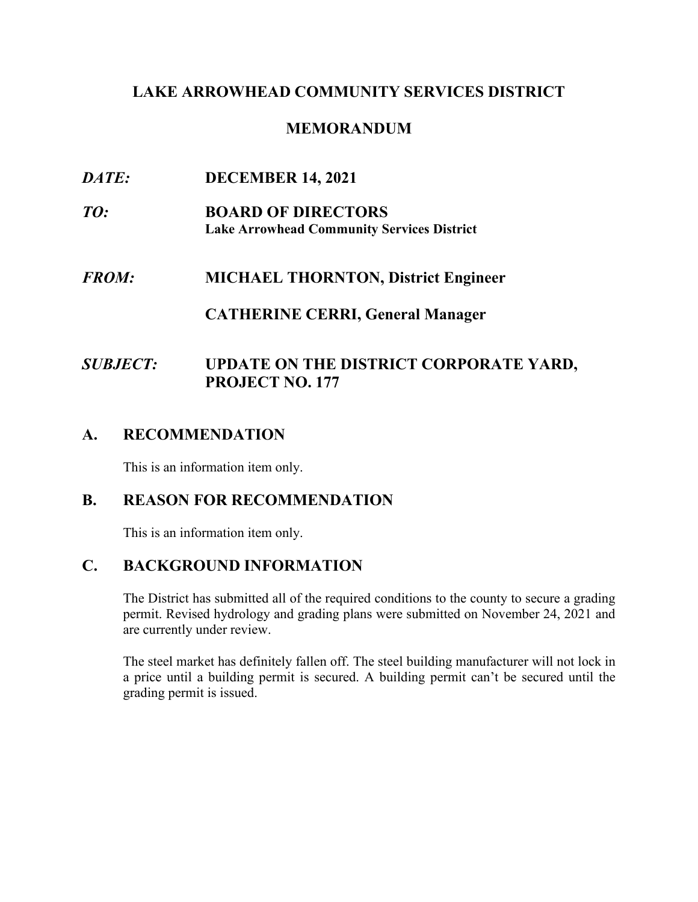### **LAKE ARROWHEAD COMMUNITY SERVICES DISTRICT**

### **MEMORANDUM**

- $\bm{D} \bm{A} \bm{T} \bm{E}$ *DATE:* **DECEMBER 14, 2021**
- $TO:$ **BOARD OF DIRECTORS Lake Arrowhead Community Services District**
- $FROM:$ *FROM:* **MICHAEL THORNTON, District Engineer**

#### **CATHERINE CERRI, General Manager**

# *SUBJECT:* **UPDATE ON THE DISTRICT CORPORATE YARD, PROJECT NO. 177**

### **A. RECOMMENDATION**

This is an information item only.

#### **B. REASON FOR RECOMMENDATION**

This is an information item only.

# **C. BACKGROUND INFORMATION**

The District has submitted all of the required conditions to the county to secure a grading permit. Revised hydrology and grading plans were submitted on November 24, 2021 and are currently under review.

 The steel market has definitely fallen off. The steel building manufacturer will not lock in a price until a building permit is secured. A building permit can't be secured until the grading permit is issued.